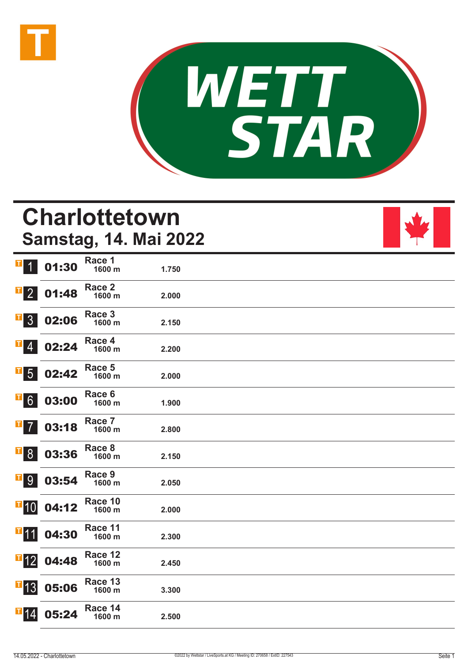



# **Charlottetown Samstag, 14. Mai 2022**



| T<br>$\vert$               | 01:30 | Race 1<br>1600 m  | 1.750 |  |
|----------------------------|-------|-------------------|-------|--|
| $\overline{\textbf{1}}$ 2  | 01:48 | Race 2<br>1600 m  | 2.000 |  |
| $\overline{\textbf{1}}$ 3  | 02:06 | Race 3<br>1600 m  | 2.150 |  |
| $\mathbf{F}$ 4             | 02:24 | Race 4<br>1600 m  | 2.200 |  |
| $\overline{\phantom{0}}$ 5 | 02:42 | Race 5<br>1600 m  | 2.000 |  |
| $\overline{\phantom{0}}$ 6 | 03:00 | Race 6<br>1600 m  | 1.900 |  |
| I<br>$\overline{7}$        | 03:18 | Race 7<br>1600 m  | 2.800 |  |
| <b>T</b> <sup>8</sup>      | 03:36 | Race 8<br>1600 m  | 2.150 |  |
| $\overline{1}9$            | 03:54 | Race 9<br>1600 m  | 2.050 |  |
| $\blacksquare$ 10          | 04:12 | Race 10<br>1600 m | 2.000 |  |
| $T$ 11                     | 04:30 | Race 11<br>1600 m | 2.300 |  |
| $\blacksquare$ 12          | 04:48 | Race 12<br>1600 m | 2.450 |  |
| $\overline{\textbf{F}}$ 13 | 05:06 | Race 13<br>1600 m | 3.300 |  |
| $\mathbf{T}$ 14            | 05:24 | Race 14<br>1600 m | 2.500 |  |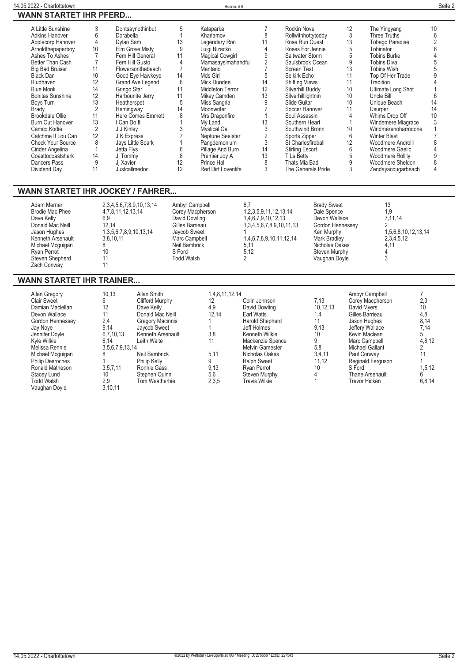|--|

| A Little Sunshine        | 3              | Dontsaynothinbut         | 5               | Kataparka              |    | Rockin Novel           | 12 | The Yingyang           | 10 |
|--------------------------|----------------|--------------------------|-----------------|------------------------|----|------------------------|----|------------------------|----|
| Adkins Hanover           | 6              | Dorabella                |                 | Kharlamov              | 8  | Rollwithhottytoddy     | 8  | Three Truths           |    |
| Applecorp Hanover        | 4              | Dylan Sam                | 13              | Legendary Ron          | 11 | Rose Run Quest         | 13 | <b>Tobago Paradise</b> |    |
| Arnoldthepaperboy        | 10             | Elm Grove Misty          |                 | Luigi Bizacko          |    | Roses For Jennie       | 5  | Tobinator              |    |
| Ashes To Ashes           |                | Fern Hill General        | 11              | <b>Magical Cowgirl</b> |    | Saltwater Storm        | 5  | <b>Tobins Burke</b>    |    |
| Better Than Cash         |                | Fern Hill Gusto          |                 | Mamasaysimahandful     |    | Saulsbrook Ocean       |    | <b>Tobins Diva</b>     |    |
| <b>Big Bad Bruiser</b>   |                | Flowersonthebeach        |                 | Mantario               |    | Screen Test            | 13 | Tobins Wish            |    |
| Black Dan                | 10             | Good Eye Hawkeye         | 14              | Mds Girl               | 5  | Selkirk Echo           | 11 | Top Of Her Trade       |    |
| Bludhaven                | 12             | Grand Ave Legend         | $6\phantom{1}6$ | Mick Dundee            | 14 | <b>Shifting Views</b>  |    | Tradition              |    |
| <b>Blue Monk</b>         | 14             | Gringo Star              | 11              | Middleton Terror       | 12 | Silverhill Buddy       | 10 | Ultimate Long Shot     |    |
| <b>Bonitas Sunshine</b>  | 12             | Harbourlite Jerry        | 11              | Mikey Camden           | 13 | Silverhilllightnin     | 10 | Uncle Bill             |    |
| Boys Turn                | 13             | Heatherspet              | 5               | Miss Sangria           |    | Slide Guitar           | 10 | Unique Beach           | 14 |
| Brady                    |                | Hemingway                | 14              | Moonwriter             |    | Soccer Hanover         |    | Usurper                | 14 |
| Brookdale Ollie          | 11             | <b>Here Comes Emmett</b> |                 | Mrs Dragonfire         |    | Soul Assassin          | 4  | Whims Drop Off         | 10 |
| <b>Burn Out Hanover</b>  | 13             | I Can Do It              |                 | My Land                | 13 | Southern Heart         |    | Windemere Miagrace     |    |
| Camco Kodie              | $\overline{2}$ | J J Kinley               |                 | <b>Mystical Gal</b>    |    | Southwind Bronn        | 10 | Windmerenoharmdone     |    |
| Catchme If Lou Can       | 12             | J K Express              |                 | Neptune Seelster       |    | Sports Zipper          | 6  | <b>Winter Blast</b>    |    |
| <b>Check Your Source</b> | 8              | Jays Little Spark        |                 | Pangdemonium           | 3  | St Charlesfireball     | 12 | Woodmere Androlli      |    |
| Cinder Angelina          |                | Jetta Flys               | 6               | Pillage And Burn       | 14 | <b>Stirling Escort</b> | 6  | Woodmere Gaelic        |    |
| Coasttocoastshark        | 14             | Ji Tommy                 | 8               | Premier Joy A          | 13 | T Ls Betty             |    | Woodmere Rollily       |    |
| Dancers Pass             | 9              | Ji Xavier                | 12              | Prince Hal             |    | Thats Mia Bad          |    | Woodmere Sheldon       |    |
| Dividend Day             | 11             | Justcallmedoc            | 12              | Red Dirt Lovenlife     | 3  | The Generals Pride     |    | Zendayacougarbeach     |    |
|                          |                |                          |                 |                        |    |                        |    |                        |    |

## **WANN STARTET IHR JOCKEY / FAHRER...**

| Adam Merner<br>Brodie Mac Phee<br>Dave Kelly<br>Donald Mac Neill<br>Jason Hughes<br>Kenneth Arsenault<br>Michael Mcguigan<br>Rvan Perrot<br>Steven Shepherd<br>Zach Conway | 2,3,4,5,6,7,8,9,10,13,14<br>4,7,8,11,12,13,14<br>6,9<br>12.14<br>1,3,5,6,7,8,9,10,13,14<br>3.8.10.11<br>10 | Ambyr Campbell<br>Corey Macpherson<br>David Dowling<br>Gilles Barrieau<br>Javcob Sweet<br>Marc Campbell<br>Neil Bambrick<br>S Ford<br><b>Todd Walsh</b> | 1, 2, 3, 5, 9, 11, 12, 13, 14<br>1,4,6,7,9,10,12,13<br>1,3,4,5,6,7,8,9,10,11,13<br>1,4,6,7,8,9,10,11,12,14<br>5.11<br>5.12 | <b>Brady Sweet</b><br>Dale Spence<br>Devon Wallace<br>Gordon Hennessey<br>Ken Murphy<br><b>Mark Bradlev</b><br>Nicholas Oakes<br>Steven Murphy<br>Vaughan Doyle | 13<br>1.9<br>7.11.14<br>1,5,6,8,10,12,13,14<br>2,3,4,5,12<br>4.11 |  |
|----------------------------------------------------------------------------------------------------------------------------------------------------------------------------|------------------------------------------------------------------------------------------------------------|---------------------------------------------------------------------------------------------------------------------------------------------------------|----------------------------------------------------------------------------------------------------------------------------|-----------------------------------------------------------------------------------------------------------------------------------------------------------------|-------------------------------------------------------------------|--|
|----------------------------------------------------------------------------------------------------------------------------------------------------------------------------|------------------------------------------------------------------------------------------------------------|---------------------------------------------------------------------------------------------------------------------------------------------------------|----------------------------------------------------------------------------------------------------------------------------|-----------------------------------------------------------------------------------------------------------------------------------------------------------------|-------------------------------------------------------------------|--|

## **WANN STARTET IHR TRAINER...**

| Allan Gregory                      | 10,13           | Allan Smith             | 1,4,8,11,12,14 |                        |          | Ambyr Campbell       |        |
|------------------------------------|-----------------|-------------------------|----------------|------------------------|----------|----------------------|--------|
| <b>Clair Sweet</b>                 | 6               | Clifford Murphy         | 12             | Colin Johnson          | 7,13     | Corey Macpherson     | 2,3    |
| Damian Maclellan                   | 12              | Dave Kelly              | 4.9            | David Dowling          | 10.12.13 | David Myers          | 10     |
| Devon Wallace                      | 11              | Donald Mac Neill        | 12.14          | Earl Watts             | 1.4      | Gilles Barrieau      | 4,8    |
| Gordon Hennessey                   | 2,4             | <b>Gregory Macinnis</b> |                | Harold Shepherd        |          | Jason Hughes         | 8,14   |
| Jay Nove                           | 9,14            | Jaycob Sweet            |                | Jeff Holmes            | 9,13     | Jeffery Wallace      | 7,14   |
| Jennifer Doyle                     | 6,7,10,13       | Kenneth Arsenault       | 3,8            | Kenneth Wilkie         | 10       | Kevin Maclean        | C      |
| Kyle Wilkie                        | 6.14            | Leith Waite             |                | Mackenzie Spence       | 9        | Marc Campbell        | 4,8,12 |
| Melissa Rennie                     | 3,5,6,7,9,13,14 |                         |                | <b>Melvin Gamester</b> | 5,8      | Michael Gallant      |        |
| Michael Mcguigan                   |                 | Neil Bambrick           | 5,11           | Nicholas Oakes         | 3,4,11   | Paul Conway          |        |
| <b>Philip Desroches</b>            |                 | Philip Kelly            |                | <b>Ralph Sweet</b>     | 11,12    | Reginald Ferguson    |        |
| Ronald Matheson                    | 3,5,7,11        | Ronnie Gass             | 9,13           | Ryan Perrot            | 10       | S Ford               | 1,5,12 |
| Stacey Lund                        | 10              | Stephen Quinn           | 5,6            | Steven Murphy          |          | Thane Arsenault      | 6      |
| <b>Todd Walsh</b><br>Vaughan Doyle | 2.9<br>3,10,11  | Tom Weatherbie          | 2,3,5          | Travis Wilkie          |          | <b>Trevor Hicken</b> | 6,8,14 |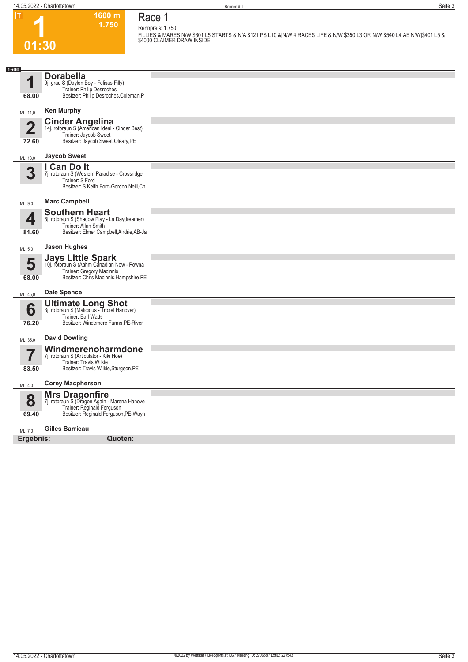**1**

# **01:30 1600 m**

**1.750** 

**Race 1**

**Rennpreis: 1.750 FILLIES & MARES N/W \$601 L5 STARTS & N/A \$121 PS L10 &|N/W 4 RACES LIFE & N/W \$350 L3 OR N/W \$540 L4 AE N/W|\$401 L5 & \$4000 CLAIMER DRAW INSIDE** 

| 1600                    |                                                                            |  |
|-------------------------|----------------------------------------------------------------------------|--|
| 1                       | <b>Dorabella</b>                                                           |  |
|                         | 9j. grau S (Daylon Boy - Felisas Filly)<br>Trainer: Philip Desroches       |  |
| 68.00                   | Besitzer: Philip Desroches, Coleman, P                                     |  |
| ML: 11,0                | <b>Ken Murphy</b>                                                          |  |
|                         | <b>Cinder Angelina</b><br>14j. rotbraun S (American Ideal - Cinder Best)   |  |
| $\overline{\mathbf{2}}$ | Trainer: Jaycob Sweet                                                      |  |
| 72.60                   | Besitzer: Jaycob Sweet, Oleary, PE                                         |  |
| ML: 13,0                | <b>Jaycob Sweet</b>                                                        |  |
|                         | I Can Do It                                                                |  |
| 3                       | 7j. rotbraun S (Western Paradise - Crossridge<br>Trainer: S Ford           |  |
|                         | Besitzer: S Keith Ford-Gordon Neill, Ch                                    |  |
| ML: 9,0                 | <b>Marc Campbell</b>                                                       |  |
|                         | <b>Southern Heart</b>                                                      |  |
| 4                       | 8j. rotbraun S (Shadow Play - La Daydreamer)<br>Trainer: Allan Smith       |  |
| 81.60                   | Besitzer: Elmer Campbell, Airdrie, AB-Ja                                   |  |
| ML: 5,0                 | <b>Jason Hughes</b>                                                        |  |
|                         | <b>Jays Little Spark</b>                                                   |  |
| 5                       | 10j. rotbraun S (Aahm Canadian Now - Powna<br>Trainer: Gregory Macinnis    |  |
| 68.00                   | Besitzer: Chris Macinnis, Hampshire, PE                                    |  |
| ML: 45,0                | <b>Dale Spence</b>                                                         |  |
|                         | <b>Ultimate Long Shot</b><br>3j. rotbraun S (Malicious - Troxel Hanover)   |  |
| 6                       | Trainer: Earl Watts                                                        |  |
| 76.20                   | Besitzer: Windemere Farms, PE-River                                        |  |
| ML: 35,0                | <b>David Dowling</b>                                                       |  |
|                         | Windmerenoharmdone                                                         |  |
| 7                       | 7j. rotbraun S (Articulator - Kiki Hoe)<br>Trainer: Travis Wilkie          |  |
| 83.50                   | Besitzer: Travis Wilkie, Sturgeon, PE                                      |  |
| ML: 4,0                 | <b>Corey Macpherson</b>                                                    |  |
|                         | <b>Mrs Dragonfire</b>                                                      |  |
| 8                       | 7j. rotbraun S (Dragon Again - Marena Hanove<br>Trainer: Reginald Ferguson |  |
| 69.40                   | Besitzer: Reginald Ferguson, PE-Wayn                                       |  |
| ML: 7,0                 | <b>Gilles Barrieau</b>                                                     |  |
| Ergebnis:               | Quoten:                                                                    |  |
|                         |                                                                            |  |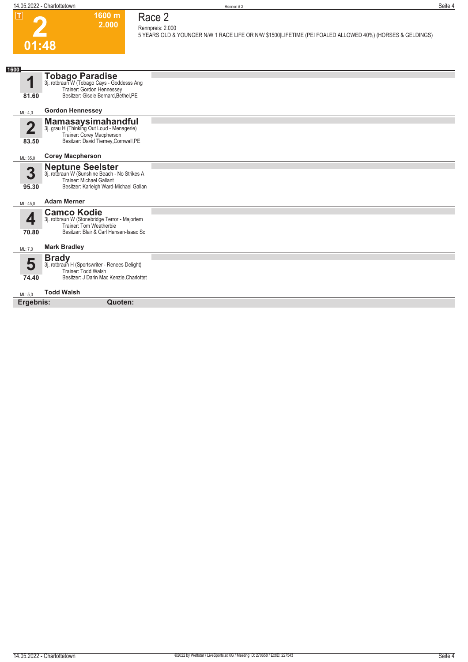

# **Race 2 Rennpreis: 2.000**

**1600 m 2.000** 

**5 YEARS OLD & YOUNGER N/W 1 RACE LIFE OR N/W \$1500|LIFETIME (PEI FOALED ALLOWED 40%) (HORSES & GELDINGS)** 

| 1600       |                                                                                                                                                       |  |
|------------|-------------------------------------------------------------------------------------------------------------------------------------------------------|--|
| 4<br>81.60 | <b>Tobago Paradise</b><br>3j. rotbraun W (Tobago Cays - Goddesss Ang<br>Trainer: Gordon Hennessey<br>Besitzer: Gisele Bernard, Bethel, PE             |  |
| ML: 4,0    | <b>Gordon Hennessey</b>                                                                                                                               |  |
| Ω<br>83.50 | <b>Mamasaysimahandful</b><br>3j. grau H (Thinking Out Loud - Menagerie)<br>Trainer: Corey Macpherson<br>Besitzer: David Tierney, Cornwall, PE         |  |
| ML: 35,0   | <b>Corey Macpherson</b>                                                                                                                               |  |
| 3<br>95.30 | <b>Neptune Seelster</b><br>3j. rotbraun W (Sunshine Beach - No Strikes A<br><b>Trainer: Michael Gallant</b><br>Besitzer: Karleigh Ward-Michael Gallan |  |
| ML: 45.0   | <b>Adam Merner</b>                                                                                                                                    |  |
| ◢<br>70.80 | <b>Camco Kodie</b><br>3j. rotbraun W (Stonebridge Terror - Majortem<br>Trainer: Tom Weatherbie<br>Besitzer: Blair & Carl Hansen-Isaac Sc              |  |
| ML: 7,0    | <b>Mark Bradley</b>                                                                                                                                   |  |
| 5<br>74.40 | <b>Brady</b><br>3j. rotbraun H (Sportswriter - Renees Delight)<br>Trainer: Todd Walsh<br>Besitzer: J Darin Mac Kenzie, Charlottet                     |  |
| ML: 5.0    | <b>Todd Walsh</b>                                                                                                                                     |  |
| Ergebnis:  | Quoten:                                                                                                                                               |  |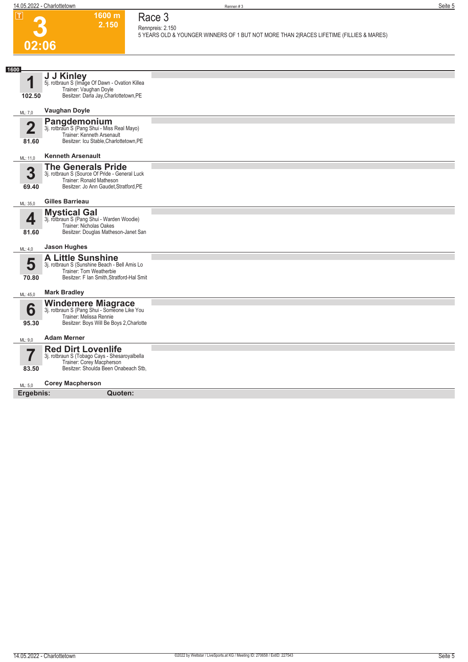

# **Race 3 Rennpreis: 2.150**

**1600 m 2.150** 

**5 YEARS OLD & YOUNGER WINNERS OF 1 BUT NOT MORE THAN 2|RACES LIFETIME (FILLIES & MARES)** 

| 1600                    |                                                                                                                                                   |  |
|-------------------------|---------------------------------------------------------------------------------------------------------------------------------------------------|--|
| 1<br>102.50             | J J Kinley<br>5j. rotbraun S (Image Of Dawn - Ovation Killea<br>Trainer: Vaughan Doyle<br>Besitzer: Darla Jay, Charlottetown, PE                  |  |
| ML: 7,0                 | <b>Vaughan Doyle</b>                                                                                                                              |  |
| $\overline{2}$<br>81.60 | Pangdemonium<br>3j. rotbraun S (Pang Shui - Miss Real Mayo)<br>Trainer: Kenneth Arsenault<br>Besitzer: Icu Stable, Charlottetown, PE              |  |
| ML: 11,0                | <b>Kenneth Arsenault</b>                                                                                                                          |  |
| 3<br>69.40              | <b>The Generals Pride</b><br>3j. rotbraun S (Source Of Pride - General Luck<br>Trainer: Ronald Matheson<br>Besitzer: Jo Ann Gaudet, Stratford, PE |  |
| ML: 35,0                | Gilles Barrieau                                                                                                                                   |  |
| 4<br>81.60              | <b>Mystical Gal</b><br>3j. rotbraun S (Pang Shui - Warden Woodie)<br><b>Trainer: Nicholas Oakes</b><br>Besitzer: Douglas Matheson-Janet San       |  |
| ML: 4,0                 | <b>Jason Hughes</b>                                                                                                                               |  |
| 5<br>70.80              | <b>A Little Sunshine</b><br>3j. rotbraun S (Sunshine Beach - Bell Amis Lo<br>Trainer: Tom Weatherbie<br>Besitzer: F Ian Smith, Stratford-Hal Smit |  |
| ML: 45,0                | <b>Mark Bradley</b>                                                                                                                               |  |
| 6<br>95.30              | Windemere Miagrace<br>3j. rotbraun S (Pang Shui - Someone Like You<br>Trainer: Melissa Rennie<br>Besitzer: Boys Will Be Boys 2, Charlotte         |  |
| ML: 9,0                 | <b>Adam Merner</b>                                                                                                                                |  |
| 83.50                   | <b>Red Dirt Lovenlife</b><br>3j. rotbraun S (Tobago Cays - Shesaroyalbella<br>Trainer: Corey Macpherson<br>Besitzer: Shoulda Been Onabeach Stb,   |  |
| ML: 5.0                 | <b>Corey Macpherson</b>                                                                                                                           |  |
| Ergebnis:               | Quoten:                                                                                                                                           |  |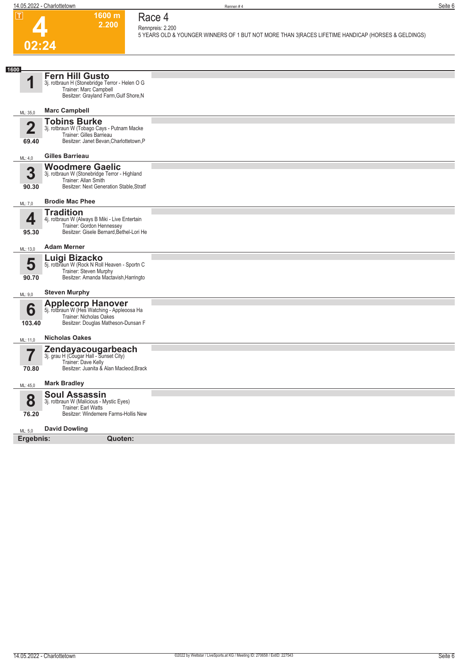

#### **1600 m Race 4 Rennpreis: 2.200**

**2.200** 

**5 YEARS OLD & YOUNGER WINNERS OF 1 BUT NOT MORE THAN 3|RACES LIFETIME HANDICAP (HORSES & GELDINGS)** 

| 1600                    |                                                                                                                                                         |  |
|-------------------------|---------------------------------------------------------------------------------------------------------------------------------------------------------|--|
|                         | <b>Fern Hill Gusto</b><br>3j. rotbraun H (Stonebridge Terror - Helen O G<br>Trainer: Marc Campbell<br>Besitzer: Grayland Farm, Gulf Shore, N            |  |
| ML: 35,0                | <b>Marc Campbell</b>                                                                                                                                    |  |
| $\overline{2}$<br>69.40 | <b>Tobins Burke</b><br>3j. rotbraun W (Tobago Cays - Putnam Macke<br>Trainer: Gilles Barrieau<br>Besitzer: Janet Bevan, Charlottetown, P                |  |
| ML: 4,0                 | <b>Gilles Barrieau</b>                                                                                                                                  |  |
| 3<br>90.30              | <b>Woodmere Gaelic</b><br>3j. rotbraun W (Stonebridge Terror - Highland<br>Trainer: Allan Smith<br>Besitzer: Next Generation Stable, Stratf             |  |
| ML: 7,0                 | <b>Brodie Mac Phee</b>                                                                                                                                  |  |
| 4<br>95.30              | <b>Tradition</b><br>4j. rotbraun W (Always B Miki - Live Entertain<br>Trainer: Gordon Hennessey<br>Besitzer: Gisele Bernard, Bethel-Lori He             |  |
| ML: 13,0                | <b>Adam Merner</b>                                                                                                                                      |  |
| 5<br>90.70              | Luigi Bizacko<br>5j. rotbraun W (Rock N Roll Heaven - Sportn C<br>Trainer: Steven Murphy<br>Besitzer: Amanda Mactavish, Harringto                       |  |
| ML: 9,0                 | <b>Steven Murphy</b>                                                                                                                                    |  |
| 6<br>103.40             | Applecorp Hanover<br>5j. rotbraun W (Hes Watching - Appleoosa Ha<br>Trainer: Nicholas Oakes<br>Besitzer: Douglas Matheson-Dunsan F                      |  |
| ML: 11,0                | <b>Nicholas Oakes</b>                                                                                                                                   |  |
| 70.80                   | Zendayacougarbeach<br>3j. grau H (Cougar Hall - Sunset City)<br>Trainer: Dave Kelly<br>Besitzer: Juanita & Alan Macleod, Brack                          |  |
| ML: 45,0                | <b>Mark Bradley</b>                                                                                                                                     |  |
| 8<br>76.20              | <b>Soul Assassin</b><br>3j. rotbraun W (Malicious - Mystic Eyes)<br>Trainer: Earl Watts<br>Besitzer: Windemere Farms-Hollis New<br><b>David Dowling</b> |  |
| ML: 5,0<br>Ergebnis:    | Quoten:                                                                                                                                                 |  |
|                         |                                                                                                                                                         |  |
|                         |                                                                                                                                                         |  |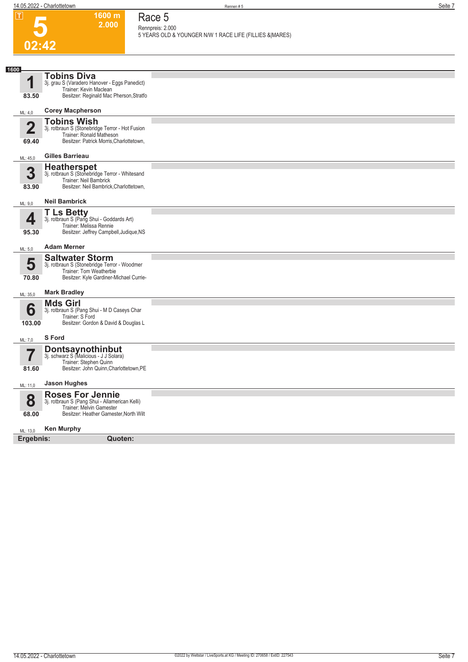

# **Race 5**

**2.000** 

**Rennpreis: 2.000**

**5 YEARS OLD & YOUNGER N/W 1 RACE LIFE (FILLIES &|MARES)** 

| 1600                    |                                                                             |  |
|-------------------------|-----------------------------------------------------------------------------|--|
| 1                       | <b>Tobins Diva</b><br>3j. grau S (Varadero Hanover - Eggs Panedict)         |  |
|                         | Trainer: Kevin Maclean                                                      |  |
| 83.50                   | Besitzer: Reginald Mac Pherson, Stratfo                                     |  |
| ML: 4,0                 | <b>Corey Macpherson</b>                                                     |  |
| $\overline{\mathbf{2}}$ | <b>Tobins Wish</b>                                                          |  |
|                         | 3j. rotbraun S (Stonebridge Terror - Hot Fusion<br>Trainer: Ronald Matheson |  |
| 69.40                   | Besitzer: Patrick Morris, Charlottetown,                                    |  |
| ML: 45,0                | <b>Gilles Barrieau</b>                                                      |  |
|                         | <b>Heatherspet</b>                                                          |  |
| 3                       | 3j. rotbraun S (Stonebridge Terror - Whitesand<br>Trainer: Neil Bambrick    |  |
| 83.90                   | Besitzer: Neil Bambrick, Charlottetown,                                     |  |
| ML: 9.0                 | <b>Neil Bambrick</b>                                                        |  |
|                         | <b>T Ls Betty</b>                                                           |  |
| 4                       | 3j. rotbraun S (Pang Shui - Goddards Art)<br>Trainer: Melissa Rennie        |  |
| 95.30                   | Besitzer: Jeffrey Campbell, Judique, NS                                     |  |
| ML: 5,0                 | <b>Adam Merner</b>                                                          |  |
|                         | <b>Saltwater Storm</b>                                                      |  |
| 5                       | 3j. rotbraun S (Stonebridge Terror - Woodmer<br>Trainer: Tom Weatherbie     |  |
| 70.80                   | Besitzer: Kyle Gardiner-Michael Currie-                                     |  |
| ML: 35,0                | <b>Mark Bradley</b>                                                         |  |
|                         | <b>Mds Girl</b>                                                             |  |
| 6                       | 3j. rotbraun S (Pang Shui - M D Caseys Char<br>Trainer: S Ford              |  |
| 103.00                  | Besitzer: Gordon & David & Douglas L                                        |  |
| ML: 7,0                 | S Ford                                                                      |  |
|                         | <b>Dontsaynothinbut</b><br>3j. schwarz S (Malicious - J J Solara)           |  |
| $\overline{\mathbf{7}}$ | Trainer: Stephen Quinn                                                      |  |
| 81.60                   | Besitzer: John Quinn, Charlottetown, PE                                     |  |
| ML: 11,0                | <b>Jason Hughes</b>                                                         |  |
|                         | <b>Roses For Jennie</b>                                                     |  |
| 8                       | 3j. rotbraun S (Pang Shui - Allamerican Kelli)<br>Trainer: Melvin Gamester  |  |
| 68.00                   | Besitzer: Heather Gamester, North Wilt                                      |  |
| ML: 13,0                | <b>Ken Murphy</b>                                                           |  |
| Ergebnis:               | Quoten:                                                                     |  |
|                         |                                                                             |  |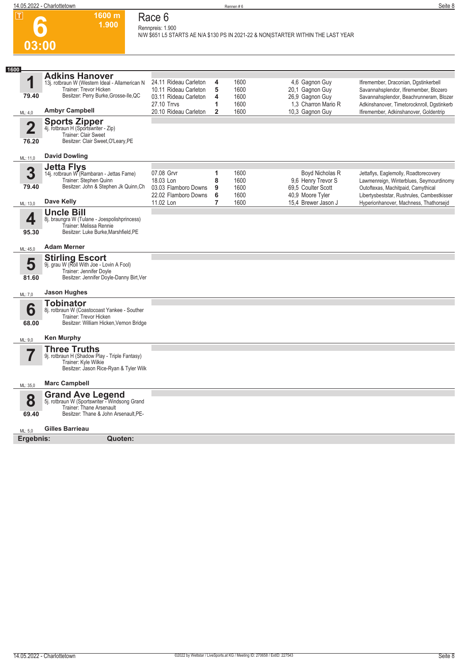

## **Race 6 Rennpreis: 1.900**

**1600 m 1.900** 

**N/W \$651 L5 STARTS AE N/A \$130 PS IN 2021-22 & NON|STARTER WITHIN THE LAST YEAR** 

| 1600                             |                                                                                                                                                                     |                                                                                                                 |                                    |                                      |                                                                                                |                                                                                                                                                                                                                    |
|----------------------------------|---------------------------------------------------------------------------------------------------------------------------------------------------------------------|-----------------------------------------------------------------------------------------------------------------|------------------------------------|--------------------------------------|------------------------------------------------------------------------------------------------|--------------------------------------------------------------------------------------------------------------------------------------------------------------------------------------------------------------------|
| 1<br>79.40                       | <b>Adkins Hanover</b><br>13j. rotbraun W (Western Ideal - Allamerican N<br>Trainer: Trevor Hicken<br>Besitzer: Perry Burke, Grosse-Ile, QC<br><b>Ambyr Campbell</b> | 24.11 Rideau Carleton<br>10.11 Rideau Carleton<br>03.11 Rideau Carleton<br>27.10 Trrvs<br>20.10 Rideau Carleton | 4<br>5<br>4<br>1<br>$\overline{2}$ | 1600<br>1600<br>1600<br>1600<br>1600 | 4,6 Gagnon Guy<br>20,1 Gagnon Guy<br>26.9 Gagnon Guy<br>1,3 Charron Mario R<br>10,3 Gagnon Guy | Ifiremember, Draconian, Dgstinkerbell<br>Savannahsplendor, Ifiremember, Blozero<br>Savannahsplendor, Beachrunneram, Blozer<br>Adkinshanover, Timetorocknroll, Dgstinkerb<br>Ifiremember, Adkinshanover, Goldentrip |
| ML: 4,0                          |                                                                                                                                                                     |                                                                                                                 |                                    |                                      |                                                                                                |                                                                                                                                                                                                                    |
| $\overline{\mathbf{2}}$<br>76.20 | <b>Sports Zipper</b><br>4j. rotbraun H (Sportswriter - Zip)<br>Trainer: Clair Sweet<br>Besitzer: Clair Sweet, O'Leary, PE                                           |                                                                                                                 |                                    |                                      |                                                                                                |                                                                                                                                                                                                                    |
| ML: 11,0                         | <b>David Dowling</b>                                                                                                                                                |                                                                                                                 |                                    |                                      |                                                                                                |                                                                                                                                                                                                                    |
| 3<br>79.40                       | <b>Jetta Flys</b><br>14j. rotbraun W (Rambaran - Jettas Fame)<br>Trainer: Stephen Quinn<br>Besitzer: John & Stephen Jk Quinn, Ch                                    | 07.08 Grvr<br>18.03 Lon<br>03.03 Flamboro Downs<br>22.02 Flamboro Downs                                         | 1<br>8<br>9<br>6                   | 1600<br>1600<br>1600<br>1600         | Boyd Nicholas R<br>9,6 Henry Trevor S<br>69,5 Coulter Scott<br>40,9 Moore Tyler                | Jettaflys, Eaglemolly, Roadtorecovery<br>Lawmenreign, Winterblues, Seymourdinomy<br>Outoftexas, Machitpaid, Camythical<br>Libertysbeststar, Rushrules, Cambestkisser                                               |
| ML: 13,0                         | Dave Kelly                                                                                                                                                          | 11.02 Lon                                                                                                       | $\overline{7}$                     | 1600                                 | 15.4 Brewer Jason J                                                                            | Hyperionhanover, Machness, Thathorseid                                                                                                                                                                             |
| 4<br>95.30                       | <b>Uncle Bill</b><br>8j. braungra W (Tulane - Joespolishprincess)<br>Trainer: Melissa Rennie<br>Besitzer: Luke Burke, Marshfield, PE                                |                                                                                                                 |                                    |                                      |                                                                                                |                                                                                                                                                                                                                    |
| ML: 45,0                         | <b>Adam Merner</b>                                                                                                                                                  |                                                                                                                 |                                    |                                      |                                                                                                |                                                                                                                                                                                                                    |
| 5<br>81.60                       | <b>Stirling Escort</b><br>9j. grau W (Roll With Joe - Lovin A Fool)<br>Trainer: Jennifer Doyle<br>Besitzer: Jennifer Doyle-Danny Birt, Ver                          |                                                                                                                 |                                    |                                      |                                                                                                |                                                                                                                                                                                                                    |
| ML: 7,0                          | Jason Hughes                                                                                                                                                        |                                                                                                                 |                                    |                                      |                                                                                                |                                                                                                                                                                                                                    |
| 6<br>68.00                       | <b>Tobinator</b><br>8j. rotbraun W (Coastocoast Yankee - Souther<br>Trainer: Trevor Hicken<br>Besitzer: William Hicken, Vernon Bridge                               |                                                                                                                 |                                    |                                      |                                                                                                |                                                                                                                                                                                                                    |
| ML: 9,0                          | <b>Ken Murphy</b>                                                                                                                                                   |                                                                                                                 |                                    |                                      |                                                                                                |                                                                                                                                                                                                                    |
|                                  | <b>Three Truths</b><br>9j. rotbraun H (Shadow Play - Triple Fantasy)<br>Trainer: Kyle Wilkie<br>Besitzer: Jason Rice-Ryan & Tyler Wilk                              |                                                                                                                 |                                    |                                      |                                                                                                |                                                                                                                                                                                                                    |
| ML: 35,0                         | <b>Marc Campbell</b>                                                                                                                                                |                                                                                                                 |                                    |                                      |                                                                                                |                                                                                                                                                                                                                    |
| 8                                | <b>Grand Ave Legend</b><br>5j. rotbraun W (Sportswriter - Windsong Grand<br><b>Trainer: Thane Arsenault</b>                                                         |                                                                                                                 |                                    |                                      |                                                                                                |                                                                                                                                                                                                                    |
| 69.40                            | Besitzer: Thane & John Arsenault, PE-                                                                                                                               |                                                                                                                 |                                    |                                      |                                                                                                |                                                                                                                                                                                                                    |
| ML: 5,0                          | Gilles Barrieau                                                                                                                                                     |                                                                                                                 |                                    |                                      |                                                                                                |                                                                                                                                                                                                                    |
| Ergebnis:                        | Quoten:                                                                                                                                                             |                                                                                                                 |                                    |                                      |                                                                                                |                                                                                                                                                                                                                    |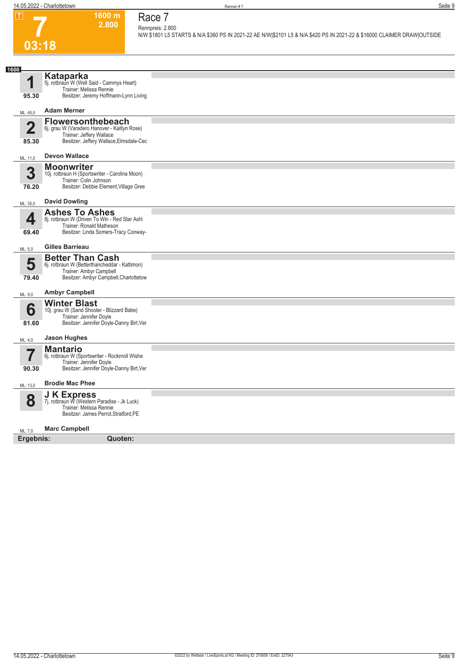**7**

**03:18**

**Race 7 Rennpreis: 2.800**

**2.800** 

**1600 m**

**N/W \$1801 L5 STARTS & N/A \$360 PS IN 2021-22 AE N/W|\$2101 L5 & N/A \$420 PS IN 2021-22 & \$16000 CLAIMER DRAW|OUTSIDE** 

| 1600                    |                                                                                                                                               |  |
|-------------------------|-----------------------------------------------------------------------------------------------------------------------------------------------|--|
| 1                       | <b>Kataparka</b><br>5j. rotbraun W (Well Said - Cammys Heart)<br>Trainer: Melissa Rennie                                                      |  |
| 95.30                   | Besitzer: Jeremy Hoffmann-Lynn Living                                                                                                         |  |
| ML: 45,0                | <b>Adam Merner</b>                                                                                                                            |  |
| $\overline{\mathbf{2}}$ | <b>Flowersonthebeach</b><br>6j. grau W (Varadero Hanover - Kaitlyn Rose)<br>Trainer: Jeffery Wallace                                          |  |
| 85.30                   | Besitzer: Jeffery Wallace, Elmsdale-Cec                                                                                                       |  |
| ML: 11,0                | <b>Devon Wallace</b>                                                                                                                          |  |
| 3                       | <b>Moonwriter</b><br>10j. rotbraun H (Sportswriter - Carolina Moon)<br>Trainer: Colin Johnson                                                 |  |
| 76.20                   | Besitzer: Debbie Element, Village Gree                                                                                                        |  |
| ML: 35,0                | <b>David Dowling</b>                                                                                                                          |  |
| 4                       | <b>Ashes To Ashes</b><br>8j. rotbraun W (Driven To Win - Red Star Ashl<br>Trainer: Ronald Matheson                                            |  |
| 69.40                   | Besitzer: Linda Somers-Tracy Conway-                                                                                                          |  |
| ML: 5,0                 | <b>Gilles Barrieau</b>                                                                                                                        |  |
| 5<br>79.40              | <b>Better Than Cash</b><br>6j. rotbraun W (Betterthancheddar - Kattimon)<br>Trainer: Ambyr Campbell<br>Besitzer: Ambyr Campbell, Charlottetow |  |
| ML: 9,0                 | <b>Ambyr Campbell</b>                                                                                                                         |  |
| 6<br>81.60              | <b>Winter Blast</b><br>10j. grau W (Sand Shooter - Blizzard Babe)<br>Trainer: Jennifer Doyle<br>Besitzer: Jennifer Doyle-Danny Birt, Ver      |  |
| ML: 4,0                 | <b>Jason Hughes</b>                                                                                                                           |  |
| 7                       | <b>Mantario</b><br>6j. rotbraun W (Sportswriter - Rocknroll Wishe<br>Trainer: Jennifer Doyle                                                  |  |
| 90.30                   | Besitzer: Jennifer Doyle-Danny Birt, Ver                                                                                                      |  |
| ML: 13,0                | <b>Brodie Mac Phee</b>                                                                                                                        |  |
| 8                       | <b>J K Express</b><br>7j. rotbraun W (Western Paradise - Jk Luck)<br>Trainer: Melissa Rennie<br>Besitzer: James Perrot, Stratford, PE         |  |
| ML: 7.0                 | <b>Marc Campbell</b>                                                                                                                          |  |
| Ergebnis:               | Quoten:                                                                                                                                       |  |
|                         |                                                                                                                                               |  |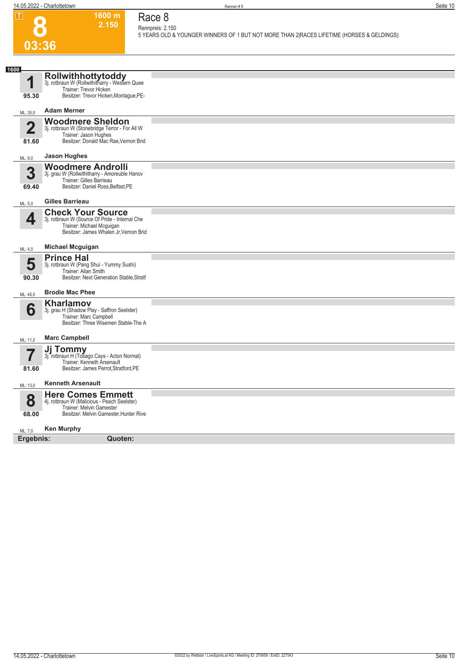**1600 m 2.150** 

**Race 8 Rennpreis: 2.150**

**8**

**5 YEARS OLD & YOUNGER WINNERS OF 1 BUT NOT MORE THAN 2|RACES LIFETIME (HORSES & GELDINGS)** 

| Rollwithhottytoddy<br>3j. rotbraun W (Rollwithitharry - Western Quee<br>1<br>Trainer: Trevor Hicken<br>Besitzer: Trevor Hicken, Montague, PE-<br>95.30<br><b>Adam Merner</b><br>ML: 35,0<br><b>Woodmere Sheldon</b><br>$\overline{\mathbf{2}}$<br>3j. rotbraun W (Stonebridge Terror - For All W<br>Trainer: Jason Hughes<br>Besitzer: Donald Mac Rae, Vernon Brid<br>81.60<br><b>Jason Hughes</b><br>ML: 9,0<br><b>Woodmere Androlli</b><br>3<br>3j. grau W (Rollwithitharry - Amoreuble Hanov<br>Trainer: Gilles Barrieau<br>Besitzer: Daniel Ross, Belfast, PE<br>69.40<br><b>Gilles Barrieau</b><br>ML: 5,0<br><b>Check Your Source</b><br>4<br>3j. rotbraun W (Source Of Pride - Internal Che<br>Trainer: Michael Mcguigan<br>Besitzer: James Whalen Jr, Vernon Brid<br><b>Michael Mcguigan</b><br>ML: 4,0<br><b>Prince Hal</b><br>5<br>3j. rotbraun W (Pang Shui - Yummy Sushi)<br>Trainer: Allan Smith<br>Besitzer: Next Generation Stable, Stratf<br>90.30<br><b>Brodie Mac Phee</b><br>ML: 45,0<br>Kharlamov<br>6<br>3j. grau H (Shadow Play - Saffron Seelster)<br>Trainer: Marc Campbell<br>Besitzer: Three Wisemen Stable-The A<br><b>Marc Campbell</b><br>ML: 11,0<br>Jj Tommy<br>3j. rotbraun H (Tobago Cays - Acton Normal)<br>Trainer: Kenneth Arsenault<br>Besitzer: James Perrot, Stratford, PE<br>81.60<br><b>Kenneth Arsenault</b><br>ML: 13,0<br><b>Here Comes Emmett</b><br>8<br>4j. rotbraun W (Malicious - Peach Seelster)<br>Trainer: Melvin Gamester<br>Besitzer: Melvin Gamester, Hunter Rive<br>68.00 | 03:36 |  |
|-----------------------------------------------------------------------------------------------------------------------------------------------------------------------------------------------------------------------------------------------------------------------------------------------------------------------------------------------------------------------------------------------------------------------------------------------------------------------------------------------------------------------------------------------------------------------------------------------------------------------------------------------------------------------------------------------------------------------------------------------------------------------------------------------------------------------------------------------------------------------------------------------------------------------------------------------------------------------------------------------------------------------------------------------------------------------------------------------------------------------------------------------------------------------------------------------------------------------------------------------------------------------------------------------------------------------------------------------------------------------------------------------------------------------------------------------------------------------------------------------------------------------------------|-------|--|
|                                                                                                                                                                                                                                                                                                                                                                                                                                                                                                                                                                                                                                                                                                                                                                                                                                                                                                                                                                                                                                                                                                                                                                                                                                                                                                                                                                                                                                                                                                                                   |       |  |
|                                                                                                                                                                                                                                                                                                                                                                                                                                                                                                                                                                                                                                                                                                                                                                                                                                                                                                                                                                                                                                                                                                                                                                                                                                                                                                                                                                                                                                                                                                                                   | 1600  |  |
|                                                                                                                                                                                                                                                                                                                                                                                                                                                                                                                                                                                                                                                                                                                                                                                                                                                                                                                                                                                                                                                                                                                                                                                                                                                                                                                                                                                                                                                                                                                                   |       |  |
|                                                                                                                                                                                                                                                                                                                                                                                                                                                                                                                                                                                                                                                                                                                                                                                                                                                                                                                                                                                                                                                                                                                                                                                                                                                                                                                                                                                                                                                                                                                                   |       |  |
|                                                                                                                                                                                                                                                                                                                                                                                                                                                                                                                                                                                                                                                                                                                                                                                                                                                                                                                                                                                                                                                                                                                                                                                                                                                                                                                                                                                                                                                                                                                                   |       |  |
|                                                                                                                                                                                                                                                                                                                                                                                                                                                                                                                                                                                                                                                                                                                                                                                                                                                                                                                                                                                                                                                                                                                                                                                                                                                                                                                                                                                                                                                                                                                                   |       |  |
|                                                                                                                                                                                                                                                                                                                                                                                                                                                                                                                                                                                                                                                                                                                                                                                                                                                                                                                                                                                                                                                                                                                                                                                                                                                                                                                                                                                                                                                                                                                                   |       |  |
|                                                                                                                                                                                                                                                                                                                                                                                                                                                                                                                                                                                                                                                                                                                                                                                                                                                                                                                                                                                                                                                                                                                                                                                                                                                                                                                                                                                                                                                                                                                                   |       |  |
|                                                                                                                                                                                                                                                                                                                                                                                                                                                                                                                                                                                                                                                                                                                                                                                                                                                                                                                                                                                                                                                                                                                                                                                                                                                                                                                                                                                                                                                                                                                                   |       |  |
|                                                                                                                                                                                                                                                                                                                                                                                                                                                                                                                                                                                                                                                                                                                                                                                                                                                                                                                                                                                                                                                                                                                                                                                                                                                                                                                                                                                                                                                                                                                                   |       |  |
|                                                                                                                                                                                                                                                                                                                                                                                                                                                                                                                                                                                                                                                                                                                                                                                                                                                                                                                                                                                                                                                                                                                                                                                                                                                                                                                                                                                                                                                                                                                                   |       |  |
|                                                                                                                                                                                                                                                                                                                                                                                                                                                                                                                                                                                                                                                                                                                                                                                                                                                                                                                                                                                                                                                                                                                                                                                                                                                                                                                                                                                                                                                                                                                                   |       |  |
|                                                                                                                                                                                                                                                                                                                                                                                                                                                                                                                                                                                                                                                                                                                                                                                                                                                                                                                                                                                                                                                                                                                                                                                                                                                                                                                                                                                                                                                                                                                                   |       |  |
|                                                                                                                                                                                                                                                                                                                                                                                                                                                                                                                                                                                                                                                                                                                                                                                                                                                                                                                                                                                                                                                                                                                                                                                                                                                                                                                                                                                                                                                                                                                                   |       |  |
|                                                                                                                                                                                                                                                                                                                                                                                                                                                                                                                                                                                                                                                                                                                                                                                                                                                                                                                                                                                                                                                                                                                                                                                                                                                                                                                                                                                                                                                                                                                                   |       |  |
|                                                                                                                                                                                                                                                                                                                                                                                                                                                                                                                                                                                                                                                                                                                                                                                                                                                                                                                                                                                                                                                                                                                                                                                                                                                                                                                                                                                                                                                                                                                                   |       |  |
| <b>Ken Murphy</b><br>ML: 7,0                                                                                                                                                                                                                                                                                                                                                                                                                                                                                                                                                                                                                                                                                                                                                                                                                                                                                                                                                                                                                                                                                                                                                                                                                                                                                                                                                                                                                                                                                                      |       |  |
| Ergebnis:<br>Quoten:                                                                                                                                                                                                                                                                                                                                                                                                                                                                                                                                                                                                                                                                                                                                                                                                                                                                                                                                                                                                                                                                                                                                                                                                                                                                                                                                                                                                                                                                                                              |       |  |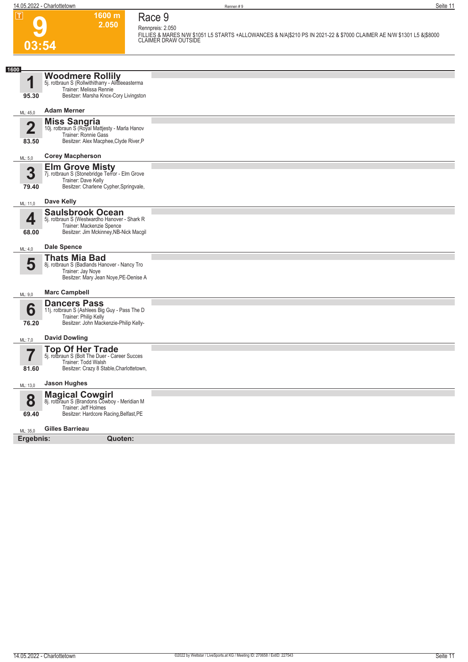# **Race 9 Rennpreis: 2.050**

**1600 m 2.050** 

**9 03:54**

**FILLIES & MARES N/W \$1051 L5 STARTS +ALLOWANCES & N/A|\$210 PS IN 2021-22 & \$7000 CLAIMER AE N/W \$1301 L5 &|\$8000 CLAIMER DRAW OUTSIDE** 

| 1600                             |                                                                                                                                                  |  |
|----------------------------------|--------------------------------------------------------------------------------------------------------------------------------------------------|--|
| 1<br>95.30                       | <b>Woodmere Rollily</b><br>5j. rotbraun S (Rollwithitharry - Alittleeasterma<br>Trainer: Melissa Rennie<br>Besitzer: Marsha Knox-Cory Livingston |  |
| ML: 45,0                         | <b>Adam Merner</b>                                                                                                                               |  |
| $\overline{2}$<br>83.50          | <b>Miss Sangria</b><br>10j. rotbraun S (Royal Mattjesty - Marla Hanov<br>Trainer: Ronnie Gass<br>Besitzer: Alex Macphee, Clyde River, P          |  |
| ML: 5,0                          | <b>Corey Macpherson</b>                                                                                                                          |  |
| 3<br>79.40                       | <b>Elm Grove Misty</b><br>7j. rotbraun S (Stonebridge Terror - Elm Grove<br>Trainer: Dave Kelly<br>Besitzer: Charlene Cypher, Springvale,        |  |
| ML: 11,0                         | Dave Kelly                                                                                                                                       |  |
| 4<br>68.00                       | <b>Saulsbrook Ocean</b><br>5j. rotbraun S (Westwardho Hanover - Shark R<br>Trainer: Mackenzie Spence<br>Besitzer: Jim Mckinney, NB-Nick Macgil   |  |
| ML: 4,0                          | <b>Dale Spence</b>                                                                                                                               |  |
| 5                                | <b>Thats Mia Bad</b><br>8j. rotbraun S (Badlands Hanover - Nancy Tro<br>Trainer: Jay Noye<br>Besitzer: Mary Jean Noye, PE-Denise A               |  |
| ML: 9,0                          | <b>Marc Campbell</b>                                                                                                                             |  |
| 6<br>76.20                       | <b>Dancers Pass</b><br>11j. rotbraun S (Ashlees Big Guy - Pass The D<br>Trainer: Philip Kelly<br>Besitzer: John Mackenzie-Philip Kelly-          |  |
| ML: 7,0                          | <b>David Dowling</b>                                                                                                                             |  |
| $\overline{\mathbf{7}}$<br>81.60 | <b>Top Of Her Trade</b><br>5j. rotbraun S (Bolt The Duer - Career Succes<br>Trainer: Todd Walsh<br>Besitzer: Crazy 8 Stable, Charlottetown,      |  |
| ML: 13,0                         | <b>Jason Hughes</b>                                                                                                                              |  |
| 8<br>69.40                       | <b>Magical Cowgirl</b><br>8j. rotbraun S (Brandons Cowboy - Meridian M<br>Trainer: Jeff Holmes<br>Besitzer: Hardcore Racing, Belfast, PE         |  |
| ML: 35,0                         | Gilles Barrieau                                                                                                                                  |  |
| Ergebnis:                        | Quoten:                                                                                                                                          |  |
|                                  |                                                                                                                                                  |  |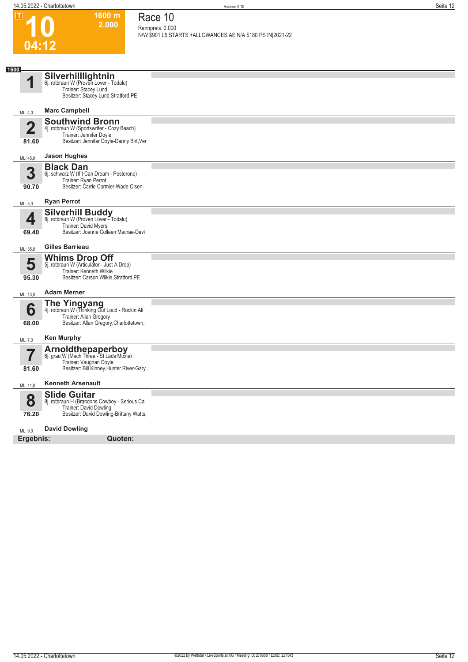**1600 m 2.000**  **Race 10**

|      | ய                                | ווו טעטו<br>2.000                                                                                                                           | Race TV<br>Rennpreis: 2.000                                |
|------|----------------------------------|---------------------------------------------------------------------------------------------------------------------------------------------|------------------------------------------------------------|
|      |                                  |                                                                                                                                             | N/W \$901 L5 STARTS +ALLOWANCES AE N/A \$180 PS IN 2021-22 |
|      | 04:12                            |                                                                                                                                             |                                                            |
|      |                                  |                                                                                                                                             |                                                            |
| 1600 | 1                                | Silverhilllightnin<br>6j. rotbraun W (Proven Lover - Todalu)<br>Trainer: Stacey Lund<br>Besitzer: Stacey Lund, Stratford, PE                |                                                            |
|      | ML: 4,0                          | <b>Marc Campbell</b>                                                                                                                        |                                                            |
|      | $\overline{\mathbf{2}}$<br>81.60 | <b>Southwind Bronn</b><br>4j. rotbraun W (Sportswriter - Cozy Beach)<br>Trainer: Jennifer Doyle<br>Besitzer: Jennifer Doyle-Danny Birt, Ver |                                                            |
|      | ML: 45,0                         | <b>Jason Hughes</b>                                                                                                                         |                                                            |
|      | 3<br>90.70                       | <b>Black Dan</b><br>6j. schwarz W (If I Can Dream - Posterone)<br>Trainer: Ryan Perrot<br>Besitzer: Carrie Cormier-Wade Olsen-              |                                                            |
|      | ML: 5,0                          | <b>Ryan Perrot</b>                                                                                                                          |                                                            |
|      | 4<br>69.40                       | Silverhill Buddy<br>8j. rotbraun W (Proven Lover - Todalu)<br>Trainer: David Myers<br>Besitzer: Joanne Colleen Macrae-Davi                  |                                                            |
|      | ML: 35,0                         | <b>Gilles Barrieau</b>                                                                                                                      |                                                            |
|      | 5<br>95.30                       | <b>Whims Drop Off</b><br>5j. rotbraun W (Articulator - Just A Drop)<br>Trainer: Kenneth Wilkie<br>Besitzer: Carson Wilkie, Stratford, PE    |                                                            |
|      | ML: 13,0                         | <b>Adam Merner</b>                                                                                                                          |                                                            |
|      | 6<br>68.00                       | <b>The Yingyang</b><br>4j. rotbraun W (Thinking Out Loud - Rockin Ali<br>Trainer: Allan Gregory<br>Besitzer: Allan Gregory, Charlottetown,  |                                                            |
|      | ML: 7,0                          | <b>Ken Murphy</b>                                                                                                                           |                                                            |
|      | 81.60                            | <b>Arnoldthepaperboy</b><br>6j. grau W (Mach Three - St Lads Moxie)<br>Trainer: Vaughan Doyle<br>Besitzer: Bill Kinney, Hunter River-Gary   |                                                            |
|      | ML: 11,0                         | <b>Kenneth Arsenault</b>                                                                                                                    |                                                            |
|      | 8<br>76.20                       | <b>Slide Guitar</b><br>8j. rotbraun H (Brandons Cowboy - Serious Ca<br>Trainer: David Dowling<br>Besitzer: David Dowling-Brittany Watts,    |                                                            |
|      | ML: 9,0                          | <b>David Dowling</b>                                                                                                                        |                                                            |
|      | Ergebnis:                        | <b>Quoten:</b>                                                                                                                              |                                                            |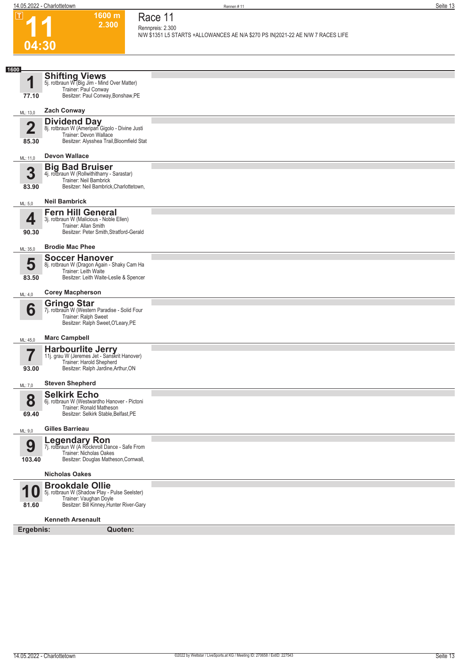



#### **1600 m 2.300 Race 11 Rennpreis: 2.300**

**N/W \$1351 L5 STARTS +ALLOWANCES AE N/A \$270 PS IN|2021-22 AE N/W 7 RACES LIFE** 

| 1600                    |                                                                                                                                               |  |
|-------------------------|-----------------------------------------------------------------------------------------------------------------------------------------------|--|
| И                       | <b>Shifting Views</b><br>5j. rotbraun W (Big Jim - Mind Over Matter)<br>Trainer: Paul Conway                                                  |  |
| 77.10                   | Besitzer: Paul Conway, Bonshaw, PE                                                                                                            |  |
| ML: 13,0                | <b>Zach Conway</b>                                                                                                                            |  |
| $\overline{2}$<br>85.30 | <b>Dividend Day</b><br>8j. rotbraun W (Ameripan Gigolo - Divine Justi<br>Trainer: Devon Wallace<br>Besitzer: Alysshea Trail, Bloomfield Stat  |  |
| ML: 11,0                | <b>Devon Wallace</b>                                                                                                                          |  |
|                         | <b>Big Bad Bruiser</b>                                                                                                                        |  |
| 3<br>83.90              | 4j. rotbraun W (Rollwithitharry - Sarastar)<br>Trainer: Neil Bambrick<br>Besitzer: Neil Bambrick, Charlottetown,                              |  |
| ML: 5,0                 | <b>Neil Bambrick</b>                                                                                                                          |  |
| 4<br>90.30              | <b>Fern Hill General</b><br>3j. rotbraun W (Malicious - Noble Ellen)<br>Trainer: Allan Smith<br>Besitzer: Peter Smith, Stratford-Gerald       |  |
| ML: 35,0                | <b>Brodie Mac Phee</b>                                                                                                                        |  |
| 5<br>83.50              | <b>Soccer Hanover</b><br>8j. rotbraun W (Dragon Again - Shaky Cam Ha<br>Trainer: Leith Waite<br>Besitzer: Leith Waite-Leslie & Spencer        |  |
| ML: 4,0                 | <b>Corey Macpherson</b>                                                                                                                       |  |
| 6                       | <b>Gringo Star</b><br>7j. rotbraun W (Western Paradise - Solid Four<br>Trainer: Ralph Sweet<br>Besitzer: Ralph Sweet, O'Leary, PE             |  |
| ML: 45,0                | <b>Marc Campbell</b>                                                                                                                          |  |
| 93.00                   | Harbourlite Jerry<br>11j. grau W (Jeremes Jet - Sanskrit Hanover)<br>Trainer: Harold Shepherd<br>Besitzer: Ralph Jardine, Arthur, ON          |  |
| ML: 7,0                 | <b>Steven Shepherd</b>                                                                                                                        |  |
| 8<br>69.40              | <b>Selkirk Echo</b><br>6j. rotbraun W (Westwardho Hanover - Pictoni<br>Trainer: Ronald Matheson<br>Besitzer: Selkirk Stable, Belfast, PE      |  |
| ML: 9,0                 | <b>Gilles Barrieau</b>                                                                                                                        |  |
| 9<br>103.40             | Legendary Ron<br>7j. rotbraun W (A Rocknroll Dance - Safe From<br>Trainer: Nicholas Oakes<br>Besitzer: Douglas Matheson, Cornwall,            |  |
|                         | <b>Nicholas Oakes</b>                                                                                                                         |  |
| 81.60                   | <b>Brookdale Ollie</b><br>5j. rotbraun W (Shadow Play - Pulse Seelster)<br>Trainer: Vaughan Doyle<br>Besitzer: Bill Kinney, Hunter River-Gary |  |
|                         | <b>Kenneth Arsenault</b>                                                                                                                      |  |
| Ergebnis:               | Quoten:                                                                                                                                       |  |
|                         |                                                                                                                                               |  |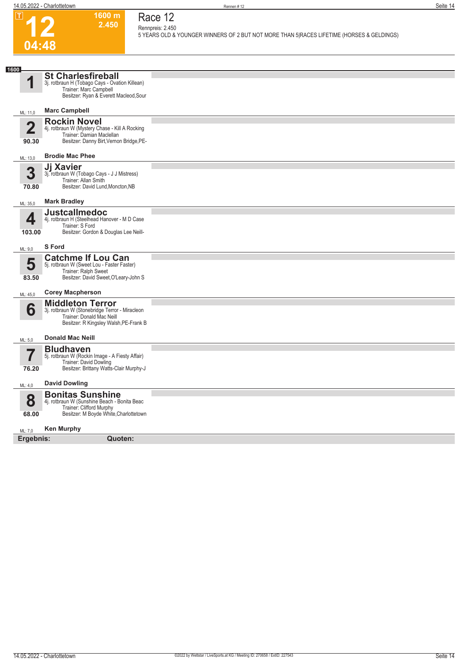

 $\boxed{1}$ 

#### **1600 m 2.450 Race 12**

**Rennpreis: 2.450 5 YEARS OLD & YOUNGER WINNERS OF 2 BUT NOT MORE THAN 5|RACES LIFETIME (HORSES & GELDINGS)** 

| 1600                 |                                                                                                                                                  |  |
|----------------------|--------------------------------------------------------------------------------------------------------------------------------------------------|--|
| 4                    | <b>St Charlesfireball</b><br>3j. rotbraun H (Tobago Cays - Ovation Killean)<br>Trainer: Marc Campbell<br>Besitzer: Ryan & Everett Macleod, Sour  |  |
| ML: 11,0             | <b>Marc Campbell</b>                                                                                                                             |  |
| $\mathbf 2$<br>90.30 | <b>Rockin Novel</b><br>4j. rotbraun W (Mystery Chase - Kill A Rocking<br>Trainer: Damian Maclellan<br>Besitzer: Danny Birt, Vernon Bridge, PE-   |  |
| ML: 13,0             | <b>Brodie Mac Phee</b>                                                                                                                           |  |
| 3<br>70.80           | Jj Xavier<br>3j. rotbraun W (Tobago Cays - J J Mistress)<br>Trainer: Allan Smith<br>Besitzer: David Lund, Moncton, NB                            |  |
| ML: 35,0             | <b>Mark Bradley</b>                                                                                                                              |  |
| 4<br>103.00          | <b>Justcallmedoc</b><br>4j. rotbraun H (Steelhead Hanover - M D Case<br>Trainer: S Ford<br>Besitzer: Gordon & Douglas Lee Neill-                 |  |
| ML: 9,0              | <b>S</b> Ford                                                                                                                                    |  |
| 5<br>83.50           | <b>Catchme If Lou Can</b><br>5j. rotbraun W (Sweet Lou - Faster Faster)<br>Trainer: Ralph Sweet<br>Besitzer: David Sweet, O'Leary-John S         |  |
| ML: 45,0             | <b>Corey Macpherson</b>                                                                                                                          |  |
| 6                    | <b>Middleton Terror</b><br>3j. rotbraun W (Stonebridge Terror - Miracleon<br>Trainer: Donald Mac Neill<br>Besitzer: R Kingsley Walsh, PE-Frank B |  |
| ML: 5,0              | <b>Donald Mac Neill</b>                                                                                                                          |  |
| 7<br>76.20           | <b>Bludhaven</b><br>5j. rotbraun W (Rockin Image - A Fiesty Affair)<br>Trainer: David Dowling<br>Besitzer: Brittany Watts-Clair Murphy-J         |  |
| ML: 4,0              | <b>David Dowling</b>                                                                                                                             |  |
| 8<br>68.00           | <b>Bonitas Sunshine</b><br>4j. rotbraun W (Sunshine Beach - Bonita Beac<br>Trainer: Clifford Murphy<br>Besitzer: M Boyde White, Charlottetown    |  |
| ML: 7,0              | <b>Ken Murphy</b>                                                                                                                                |  |
| Ergebnis:            | Quoten:                                                                                                                                          |  |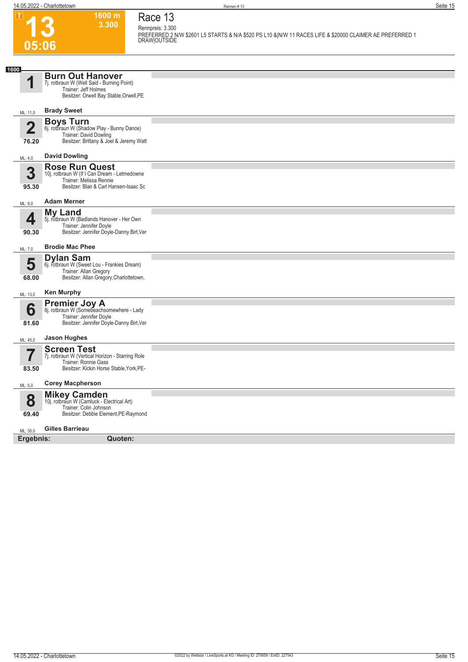**13**

**05:06**

 $\boxed{1}$ 

**Race 13 Rennpreis: 3.300**

**1600 m 3.300** 

**PREFERRED 2 N/W \$2601 L5 STARTS & N/A \$520 PS L10 &|N/W 11 RACES LIFE & \$20000 CLAIMER AE PREFERRED 1 DRAW|OUTSIDE** 

| 1600        |                                                                                                                                            |  |
|-------------|--------------------------------------------------------------------------------------------------------------------------------------------|--|
| И           | <b>Burn Out Hanover</b><br>7j. rotbraun W (Well Said - Burning Point)<br>Trainer: Jeff Holmes<br>Besitzer: Orwell Bay Stable, Orwell, PE   |  |
| ML: 11,0    | <b>Brady Sweet</b>                                                                                                                         |  |
| 50<br>76.20 | <b>Boys Turn</b><br>6j. rotbraun W (Shadow Play - Bunny Dance)<br><b>Trainer: David Dowling</b><br>Besitzer: Brittany & Joel & Jeremy Watt |  |
| ML: 4,0     | <b>David Dowling</b>                                                                                                                       |  |
| 3<br>95.30  | <b>Rose Run Quest</b><br>10j. rotbraun W (If I Can Dream - Letmedowne<br>Trainer: Melissa Rennie<br>Besitzer: Blair & Carl Hansen-Isaac Sc |  |
| ML: 9,0     | <b>Adam Merner</b>                                                                                                                         |  |
| 4<br>90.30  | <b>My Land</b><br>5j. rotbraun W (Badlands Hanover - Her Own<br>Trainer: Jennifer Doyle<br>Besitzer: Jennifer Doyle-Danny Birt, Ver        |  |
| ML: 7,0     | <b>Brodie Mac Phee</b>                                                                                                                     |  |
| 5<br>68.00  | <b>Dylan Sam</b><br>6j. rotbraun W (Sweet Lou - Frankies Dream)<br>Trainer: Allan Gregory<br>Besitzer: Allan Gregory, Charlottetown,       |  |
| ML: 13,0    | <b>Ken Murphy</b>                                                                                                                          |  |
| 6<br>81.60  | <b>Premier Joy A</b><br>8j. rotbraun W (Somebeachsomewhere - Lady<br>Trainer: Jennifer Doyle<br>Besitzer: Jennifer Doyle-Danny Birt, Ver   |  |
| ML: 45,0    | <b>Jason Hughes</b>                                                                                                                        |  |
| 83.50       | <b>Screen Test</b><br>7j. rotbraun W (Vertical Horizon - Starring Role<br>Trainer: Ronnie Gass<br>Besitzer: Kickin Horse Stable, York, PE- |  |
| ML: 5,0     | <b>Corey Macpherson</b>                                                                                                                    |  |
| 8<br>69.40  | <b>Mikey Camden</b><br>10j. rotbraun W (Camluck - Electrical Art)<br>Trainer: Colin Johnson<br>Besitzer: Debbie Element, PE-Raymond        |  |
| ML: 35,0    | <b>Gilles Barrieau</b>                                                                                                                     |  |
| Ergebnis:   | Quoten:                                                                                                                                    |  |
|             |                                                                                                                                            |  |